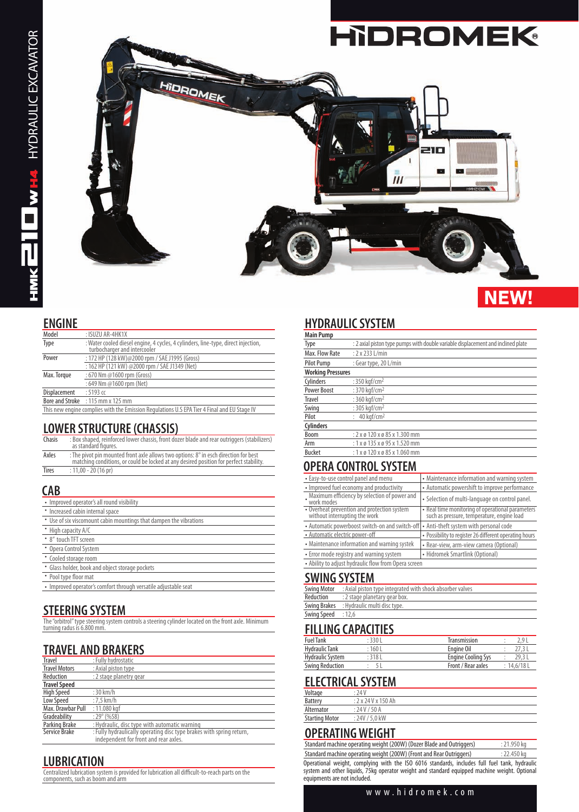

#### **ENGINE**

| Model                                                                                       | : ISUZU AR-4HK1X                                                                                                  |  |
|---------------------------------------------------------------------------------------------|-------------------------------------------------------------------------------------------------------------------|--|
| Type                                                                                        | : Water cooled diesel engine, 4 cycles, 4 cylinders, line-type, direct injection,<br>turbocharger and intercooler |  |
| Power                                                                                       | : 172 HP (128 kW)@2000 rpm / SAE J1995 (Gross)                                                                    |  |
|                                                                                             | : 162 HP (121 kW) @2000 rpm / SAE J1349 (Net)                                                                     |  |
| Max. Torque                                                                                 | : 670 Nm @1600 rpm (Gross)                                                                                        |  |
|                                                                                             | : 649 Nm @1600 rpm (Net)                                                                                          |  |
| Displacement                                                                                | $:5193$ cc                                                                                                        |  |
|                                                                                             | Bore and Stroke : 115 mm x 125 mm                                                                                 |  |
| This new engine complies with the Emission Regulations U.S EPA Tier 4 Final and EU Stage IV |                                                                                                                   |  |

## **LOWER STRUCTURE (CHASSIS)**

| Chasis       | : Box shaped, reinforced lower chassis, front dozer blade and rear outriggers (stabilizers)<br>as standard figures.                                                            |
|--------------|--------------------------------------------------------------------------------------------------------------------------------------------------------------------------------|
| Axles        | : The pivot pin mounted front axle allows two options: 8° in esch direction for best<br>matching conditions, or could be locked at any desired position for perfect stability. |
| <b>Tires</b> | : $11,00 - 20$ (16 pr)                                                                                                                                                         |

## **CAB**

| • Improved operator's all round visibility                         |
|--------------------------------------------------------------------|
| • Increased cabin internal space                                   |
| • Use of six viscomount cabin mountings that dampen the vibrations |
| • High capacity A/C                                                |
| • 8" touch TFT screen                                              |
| • Opera Control System                                             |
| • Cooled storage room                                              |
| • Glass holder, book and object storage pockets                    |
| • Pool type floor mat                                              |
| • Improved operator's comfort through versatile adjustable seat    |
|                                                                    |

# **STEERING SYSTEM**

| The "orbitrol" type steering system controls a steering cylinder located on the front axle. Minimum<br>turning radus is 6.800 mm. |
|-----------------------------------------------------------------------------------------------------------------------------------|
|-----------------------------------------------------------------------------------------------------------------------------------|

# **TRAVEL AND BRAKERS**

| Travel               | : Fully hydrostatic                                                  |
|----------------------|----------------------------------------------------------------------|
| <b>Travel Motors</b> | : Axial piston type                                                  |
| Reduction            | : 2 stage planetry gear                                              |
| <b>Travel Speed</b>  |                                                                      |
| High Speed           | $:30$ km/h                                                           |
| Low Speed            | $:7.5$ km/h                                                          |
| Max. Drawbar Pull    | : 11.080 kgf                                                         |
| Gradeability         | $:29^{\circ}$ (%58)                                                  |
| Parking Brake        | : Hydraulic, disc type with automatic warning                        |
| Service Brake        | : Fully hydraulically operating disc type brakes with spring return, |
|                      | independent for front and rear axles.                                |

## **LUBRICATION**

Centralized lubrication system is provided for lubrication all difficult-to-reach parts on the components, such as boom and arm

# **HYDRAULIC SYSTEM**

| <b>Main Pump</b>         |                                                                                  |
|--------------------------|----------------------------------------------------------------------------------|
| Type                     | : 2 axial piston type pumps with double variable displacement and inclined plate |
| Max. Flow Rate           | $: 2 \times 233$ L/min                                                           |
| <b>Pilot Pump</b>        | : Gear type, 20 L/min                                                            |
| <b>Working Pressures</b> |                                                                                  |
| Cylinders                | : 350 kgf/cm <sup>2</sup>                                                        |
| <b>Power Boost</b>       | : 370 kaf/cm <sup>2</sup>                                                        |
| <b>Travel</b>            | : 360 kaf/cm <sup>2</sup>                                                        |
| Swing                    | : $305$ kaf/cm <sup>2</sup>                                                      |
| Pilot                    | $40$ kaf/cm <sup>2</sup>                                                         |
| <b>Cylinders</b>         |                                                                                  |
| Boom                     | : 2 x ø 120 x ø 85 x 1.300 mm                                                    |
| Arm                      | $: 1 \times 0 135 \times 0 95 \times 1.520$ mm                                   |
| <b>Bucket</b>            | $: 1 \times 0 120 \times 0 85 \times 1.060$ mm                                   |
|                          |                                                                                  |

## **OPERA CONTROL SYSTEM**

| • Easy-to-use control panel and menu                                         | • Maintenance information and warning system                                                   |  |
|------------------------------------------------------------------------------|------------------------------------------------------------------------------------------------|--|
| • Improved fuel economy and productivity                                     | • Automatic powershift to improve performance                                                  |  |
| Maximum efficiency by selection of power and<br>work modes                   | • Selection of multi-language on control panel.                                                |  |
| • Overheat prevention and protection system<br>without interrupting the work | • Real time monitoring of operational parameters<br>such as pressure, temperature, engine load |  |
| • Automatic powerboost switch-on and switch-off                              | • Anti-theft system with personal code                                                         |  |
| • Automatic electric power-off                                               | • Possibility to register 26 different operating hours                                         |  |
| • Maintenance information and warning systek                                 | • Rear-view, arm-view camera (Optional)                                                        |  |
| • Error mode registry and warning system                                     | • Hidromek Smartlink (Optional)                                                                |  |
| • Ability to adjust hydraulic flow from Opera screen                         |                                                                                                |  |
|                                                                              |                                                                                                |  |

#### **SWING SYSTEM**

|                    | <b>Swing Motor</b> : Axial piston type integrated with shock absorber valves |
|--------------------|------------------------------------------------------------------------------|
| Reduction          | : 2 stage planetary gear box.                                                |
|                    | Swing Brakes : Hydraulic multi disc type.                                    |
| Swing Speed : 12,6 |                                                                              |
|                    |                                                                              |

#### **FILLING CAPACITIES**

| <b>Fuel Tank</b>       | : 330 L | Transmission              | 2 Q         |
|------------------------|---------|---------------------------|-------------|
| Hydraulic Tank         | :1601   | Engine Oil                |             |
| Hydraulic System       | :318L   | <b>Engine Cooling Sys</b> | 29.3L       |
| <b>Swing Reduction</b> |         | Front / Rear axles        | : 14.6/18 L |

## **ELECTRICAL SYSTEM**

| Voltage               | : 74V             |
|-----------------------|-------------------|
| <b>Battery</b>        | : 2x 24 Vx 150 Ah |
| Alternator            | : 24 V / 50 A     |
| <b>Starting Motor</b> | : 24V / 5.0 kW    |
|                       |                   |

# **OPERATING WEIGHT**

| Standard machine operating weight (200W) (Dozer Blade and Outriggers)                                                                                                                                                          | : 21.950 kg |
|--------------------------------------------------------------------------------------------------------------------------------------------------------------------------------------------------------------------------------|-------------|
| Standard machine operating weight (200W) (Front and Rear Outriggers)                                                                                                                                                           | : 22.450 ka |
| Operational weight, complying with the ISO 6016 standards, includes full fuel tank, hydraulic<br>system and other liquids, 75kg operator weight and standard equipped machine weight. Optional<br>equipments are not included. |             |

## www.hidromek.com